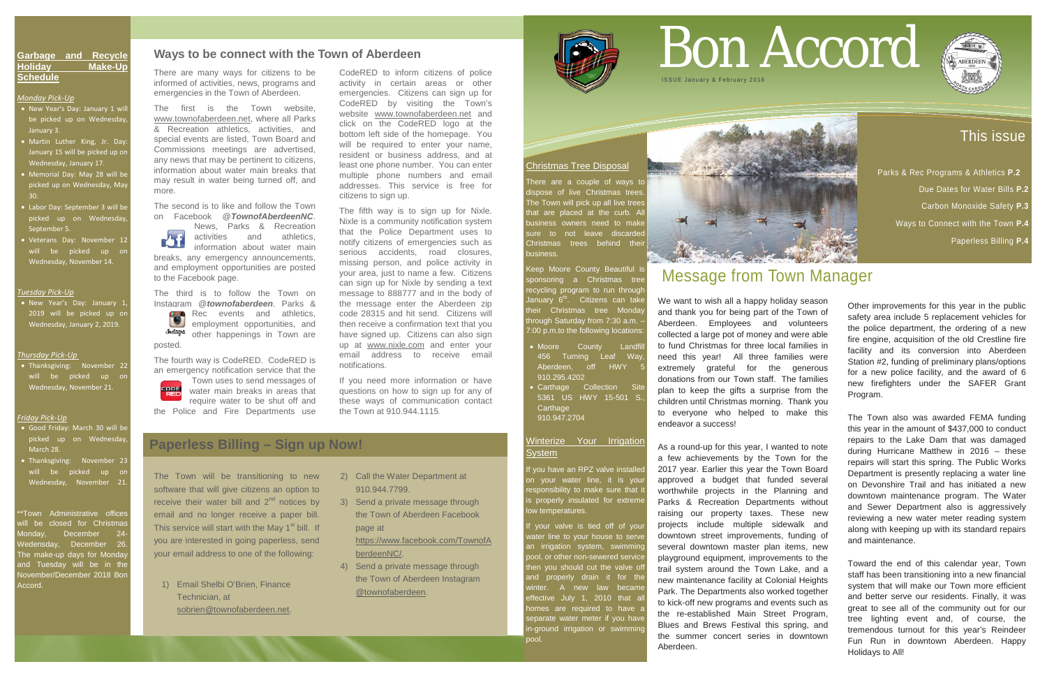### This issue

 Parks & Rec Programs & Athletics **P.2** Due Dates for Water Bills **P.2**  Carbon Monoxide Safety **P.3** Ways to Connect with the Town **P.4**

Paperless Billing **P.4**

**Garbage and Recycle Holiday Make-Up Schedule**

*Monday Pick-Up*

- New Year's Day: January 1 will be picked up on Wednesday January 3.
- Martin Luther King, Jr. Day: January 15 will be picked up on Wednesday, January 17.
- Memorial Day: May 28 will be picked up on Wednesday, May 30.
- Labor Day: September 3 will be picked up on Wednesday, September 5.
- Veterans Day: November 12 will be picked up or Wednesday, November 14.

\*Town Administrative offices will be closed for Christmas londay, December 24 Wedensday, December 26. The make-up days for Monday and Tuesday will be in the November/December 2018 Bor Accord.

#### *Tuesday Pick-Up*

• New Year's Day: January 1, 2019 will be picked up or Wednesday, January 2, 2019.

There are a couple of ways to dispose of live Christmas trees The Town will pick up all live trees that are placed at the curb. A business owners need to make sure to not leave discarded Christmas trees behind thei business.

#### *Thursday Pick-Up*

• Thanksgiving: November 22 will be picked up or Wednesday, November 21.

#### *Friday Pick-Up*

Keep Moore County Beautiful is sponsoring a Christmas tree recycling program to run throug<mark>h</mark> January 6<sup>th</sup>. Citizens can take their Christmas tree Monday hrough Saturday from 7:30 a.m. 7:00 p.m.to the following locations:

- Good Friday: March 30 will be picked up on Wednesday March 28.
- Thanksgiving: November 23 will be picked up or Wednesday, November 21.
- Moore County Landfil 456 Turning Leaf Way, Aberdeen, off HWY 5 910.295.4202
- **Carthage Collection Site** 5361 US HWY 15-501 S., **Carthage** 910.947.2704

#### Winterize Your Irrigation **System**

vou have an RPZ valve installe on your water line, it is your responsibility to make sure that it s properly insulated for extreme bw temperatures.

#### Christmas Tree Disposal

i your valve is tied off of your vater line to your house to serve an irrigation system, swimming pool, or other non-sewered service then you should cut the valve off and properly drain it for the winter. A new law became effective July 1, 2010 that al homes are required to have a separate water meter if you have n-ground irrigation or swimming pool.



# Bon Accord **ISSUE January & February 201**

## Message from Town Manager

We want to wish all a happy holiday season and thank you for being part of the Town of Aberdeen. Employees and volunteers collected a large pot of money and were able to fund Christmas for three local families in need this year! All three families were extremely grateful for the generous donations from our Town staff. The families plan to keep the gifts a surprise from the children until Christmas morning. Thank you to everyone who helped to make this endeavor a success!

As a round-up for this year, I wanted to note a few achievements by the Town for the 2017 year. Earlier this year the Town Board approved a budget that funded several worthwhile projects in the Planning and Parks & Recreation Departments without raising our property taxes. These new projects include multiple sidewalk and downtown street improvements, funding of several downtown master plan items, new playground equipment, improvements to the trail system around the Town Lake, and a new maintenance facility at Colonial Heights Park. The Departments also worked together to kick-off new programs and events such as the re-established Main Street Program, Blues and Brews Festival this spring, and the summer concert series in downtown Aberdeen.



Town uses to send messages of water main breaks in areas that require water to be shut off and the Police and Fire Departments use

Other improvements for this year in the public safety area include 5 replacement vehicles for the police department, the ordering of a new fire engine, acquisition of the old Crestline fire facility and its conversion into Aberdeen Station #2, funding of preliminary plans/options for a new police facility, and the award of 6 new firefighters under the SAFER Grant Program.

The Town also was awarded FEMA funding this year in the amount of \$437,000 to conduct repairs to the Lake Dam that was damaged during Hurricane Matthew in 2016 – these repairs will start this spring. The Public Works Department is presently replacing a water line on Devonshire Trail and has initiated a new downtown maintenance program. The Water and Sewer Department also is aggressively reviewing a new water meter reading system along with keeping up with its standard repairs and maintenance.

Toward the end of this calendar year, Town staff has been transitioning into a new financial system that will make our Town more efficient and better serve our residents. Finally, it was great to see all of the community out for our tree lighting event and, of course, the tremendous turnout for this year's Reindeer Fun Run in downtown Aberdeen. Happy Holidays to All!

### **Paperless Billing – Sign up Now!**

The Town will be transitioning to new software that will give citizens an option to receive their water bill and  $2<sup>nd</sup>$  notices by email and no longer receive a paper bill. This service will start with the May  $1<sup>st</sup>$  bill. If you are interested in going paperless, send your email address to one of the following:

1) Email Shelbi O'Brien, Finance Technician, at [sobrien@townofaberdeen.net.](mailto:sobrien@townofaberdeen.net)

- 2) Call the Water Department at 910.944.7799.
- 3) Send a private message through the Town of Aberdeen Facebook page at

[https://www.facebook.com/TownofA](https://www.facebook.com/TownofAberdeenNC/) [berdeenNC/.](https://www.facebook.com/TownofAberdeenNC/)

4) Send a private message through the Town of Aberdeen Instagram @townofaberdeen.



There are many ways for citizens to be informed of activities, news, programs and emergencies in the Town of Aberdeen.

The first is the Town website, [www.townofaberdeen.net,](http://www.townofaberdeen.net/) where all Parks & Recreation athletics, activities, and special events are listed, Town Board and Commissions meetings are advertised, any news that may be pertinent to citizens, information about water main breaks that may result in water being turned off, and more.

The second is to like and follow the Town on Facebook @*TownofAberdeenNC*.

 News, Parks & Recreation  $\sum_{i=1}^{n}$  activities and athletics, information about water main breaks, any emergency announcements, and employment opportunities are posted to the Facebook page.

The third is to follow the Town on Instagram @*townofaberdeen*. Parks & Rec events and athletics, employment opportunities, and **Justagra** other happenings in Town are posted.

The fourth way is CodeRED. CodeRED is an emergency notification service that the CodeRED to inform citizens of police activity in certain areas or other emergencies. Citizens can sign up for CodeRED by visiting the Town's website [www.townofaberdeen.net](http://www.townofaberdeen.net/) and click on the CodeRED logo at the bottom left side of the homepage. You will be required to enter your name, resident or business address, and at least one phone number. You can enter multiple phone numbers and email addresses. This service is free for citizens to sign up.

The fifth way is to sign up for Nixle. Nixle is a community notification system that the Police Department uses to notify citizens of emergencies such as serious accidents, road closures, missing person, and police activity in your area, just to name a few. Citizens can sign up for Nixle by sending a text message to 888777 and in the body of the message enter the Aberdeen zip code 28315 and hit send. Citizens will then receive a confirmation text that you have signed up. Citizens can also sign up at [www.nixle.com](http://www.nixle.com/) and enter your email address to receive email notifications.

If you need more information or have questions on how to sign up for any of these ways of communication contact the Town at 910.944.1115.

#### **Ways to be connect with the Town of Aberdeen**